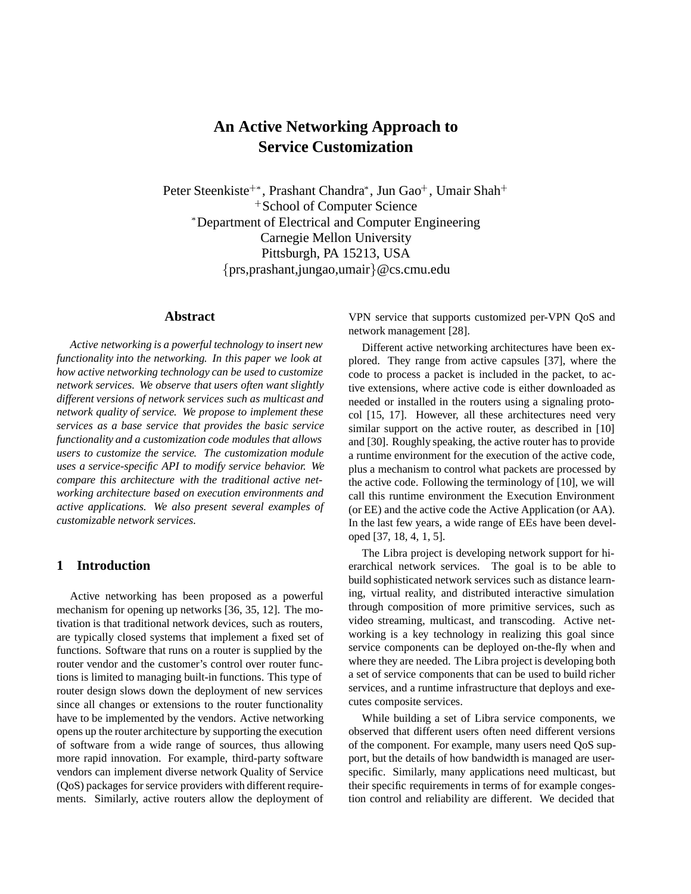# **An Active Networking Approach to Service Customization**

Peter Steenkiste<sup>+\*</sup>, Prashant Chandra\*, Jun Gao<sup>+</sup>, Umair Shah<sup>+</sup> School of Computer Science Department of Electrical and Computer Engineering Carnegie Mellon University Pittsburgh, PA 15213, USA  ${prs, prashant, jungao,umair}$  $@cs.cmu.edu$ 

# **Abstract**

*Active networking is a powerful technology to insert new functionality into the networking. In this paper we look at how active networking technology can be used to customize network services. We observe that users often want slightly different versions of network services such as multicast and network quality of service. We propose to implement these services as a base service that provides the basic service functionality and a customization code modules that allows users to customize the service. The customization module uses a service-specific API to modify service behavior. We compare this architecture with the traditional active networking architecture based on execution environments and active applications. We also present several examples of customizable network services.*

# **1 Introduction**

Active networking has been proposed as a powerful mechanism for opening up networks [36, 35, 12]. The motivation is that traditional network devices, such as routers, are typically closed systems that implement a fixed set of functions. Software that runs on a router is supplied by the router vendor and the customer's control over router functions is limited to managing built-in functions. This type of router design slows down the deployment of new services since all changes or extensions to the router functionality have to be implemented by the vendors. Active networking opens up the router architecture by supporting the execution of software from a wide range of sources, thus allowing more rapid innovation. For example, third-party software vendors can implement diverse network Quality of Service (QoS) packages for service providers with different requirements. Similarly, active routers allow the deployment of VPN service that supports customized per-VPN QoS and network management [28].

Different active networking architectures have been explored. They range from active capsules [37], where the code to process a packet is included in the packet, to active extensions, where active code is either downloaded as needed or installed in the routers using a signaling protocol [15, 17]. However, all these architectures need very similar support on the active router, as described in [10] and [30]. Roughly speaking, the active router has to provide a runtime environment for the execution of the active code, plus a mechanism to control what packets are processed by the active code. Following the terminology of [10], we will call this runtime environment the Execution Environment (or EE) and the active code the Active Application (or AA). In the last few years, a wide range of EEs have been developed [37, 18, 4, 1, 5].

The Libra project is developing network support for hierarchical network services. The goal is to be able to build sophisticated network services such as distance learning, virtual reality, and distributed interactive simulation through composition of more primitive services, such as video streaming, multicast, and transcoding. Active networking is a key technology in realizing this goal since service components can be deployed on-the-fly when and where they are needed. The Libra project is developing both a set of service components that can be used to build richer services, and a runtime infrastructure that deploys and executes composite services.

While building a set of Libra service components, we observed that different users often need different versions of the component. For example, many users need QoS support, but the details of how bandwidth is managed are userspecific. Similarly, many applications need multicast, but their specific requirements in terms of for example congestion control and reliability are different. We decided that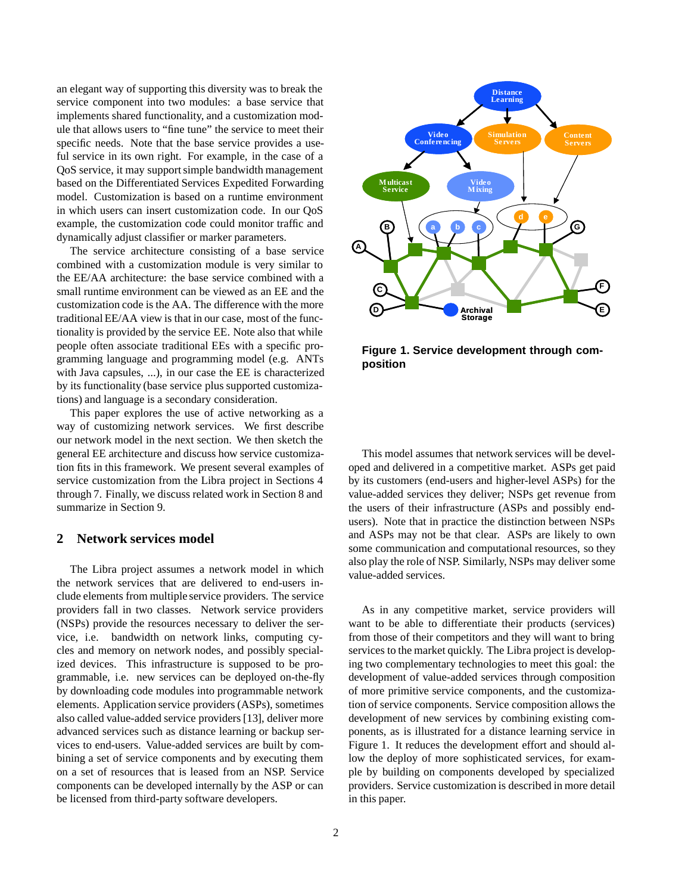an elegant way of supporting this diversity was to break the service component into two modules: a base service that implements shared functionality, and a customization module that allows users to "fine tune" the service to meet their specific needs. Note that the base service provides a useful service in its own right. For example, in the case of a QoS service, it may support simple bandwidth management based on the Differentiated Services Expedited Forwarding model. Customization is based on a runtime environment in which users can insert customization code. In our QoS example, the customization code could monitor traffic and dynamically adjust classifier or marker parameters.

The service architecture consisting of a base service combined with a customization module is very similar to the EE/AA architecture: the base service combined with a small runtime environment can be viewed as an EE and the customization code is the AA. The difference with the more traditional EE/AA view is that in our case, most of the functionality is provided by the service EE. Note also that while people often associate traditional EEs with a specific programming language and programming model (e.g. ANTs with Java capsules, ...), in our case the EE is characterized by its functionality (base service plus supported customizations) and language is a secondary consideration.

This paper explores the use of active networking as a way of customizing network services. We first describe our network model in the next section. We then sketch the general EE architecture and discuss how service customization fits in this framework. We present several examples of service customization from the Libra project in Sections 4 through 7. Finally, we discuss related work in Section 8 and summarize in Section 9.

# **2 Network services model**

The Libra project assumes a network model in which the network services that are delivered to end-users include elements from multiple service providers. The service providers fall in two classes. Network service providers (NSPs) provide the resources necessary to deliver the service, i.e. bandwidth on network links, computing cycles and memory on network nodes, and possibly specialized devices. This infrastructure is supposed to be programmable, i.e. new services can be deployed on-the-fly by downloading code modules into programmable network elements. Application service providers (ASPs), sometimes also called value-added service providers [13], deliver more advanced services such as distance learning or backup services to end-users. Value-added services are built by combining a set of service components and by executing them on a set of resources that is leased from an NSP. Service components can be developed internally by the ASP or can be licensed from third-party software developers.



**Figure 1. Service development through composition**

This model assumes that network services will be developed and delivered in a competitive market. ASPs get paid by its customers (end-users and higher-level ASPs) for the value-added services they deliver; NSPs get revenue from the users of their infrastructure (ASPs and possibly endusers). Note that in practice the distinction between NSPs and ASPs may not be that clear. ASPs are likely to own some communication and computational resources, so they also play the role of NSP. Similarly, NSPs may deliver some value-added services.

As in any competitive market, service providers will want to be able to differentiate their products (services) from those of their competitors and they will want to bring services to the market quickly. The Libra project is developing two complementary technologies to meet this goal: the development of value-added services through composition of more primitive service components, and the customization of service components. Service composition allows the development of new services by combining existing components, as is illustrated for a distance learning service in Figure 1. It reduces the development effort and should allow the deploy of more sophisticated services, for example by building on components developed by specialized providers. Service customization is described in more detail in this paper.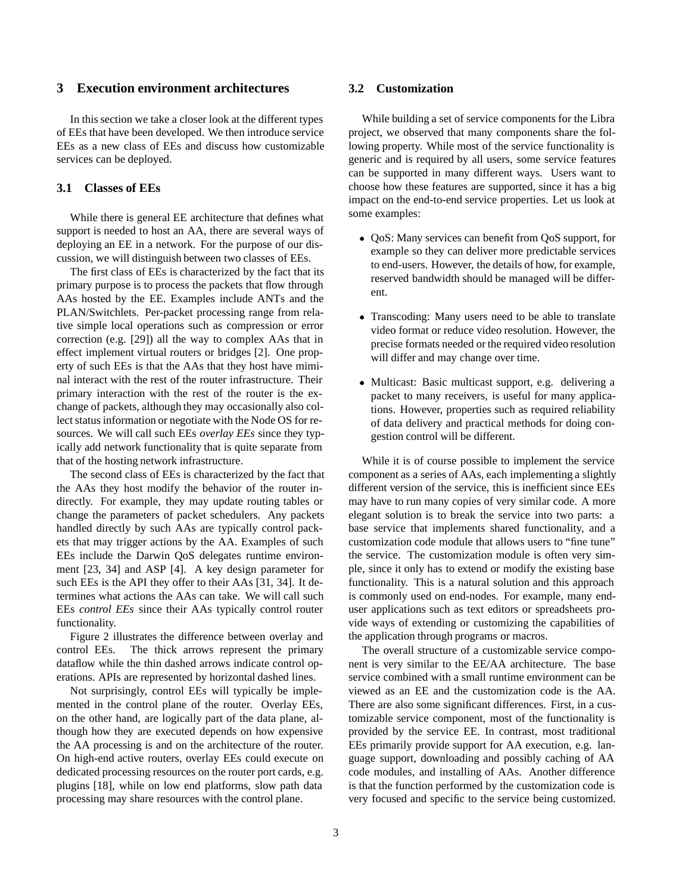# **3 Execution environment architectures**

In this section we take a closer look at the different types of EEs that have been developed. We then introduce service EEs as a new class of EEs and discuss how customizable services can be deployed.

# **3.1 Classes of EEs**

While there is general EE architecture that defines what support is needed to host an AA, there are several ways of deploying an EE in a network. For the purpose of our discussion, we will distinguish between two classes of EEs.

The first class of EEs is characterized by the fact that its primary purpose is to process the packets that flow through AAs hosted by the EE. Examples include ANTs and the PLAN/Switchlets. Per-packet processing range from relative simple local operations such as compression or error correction (e.g. [29]) all the way to complex AAs that in effect implement virtual routers or bridges [2]. One property of such EEs is that the AAs that they host have miminal interact with the rest of the router infrastructure. Their primary interaction with the rest of the router is the exchange of packets, although they may occasionally also collect status information or negotiate with the Node OS for resources. We will call such EEs *overlay EEs* since they typically add network functionality that is quite separate from that of the hosting network infrastructure.

The second class of EEs is characterized by the fact that the AAs they host modify the behavior of the router indirectly. For example, they may update routing tables or change the parameters of packet schedulers. Any packets handled directly by such AAs are typically control packets that may trigger actions by the AA. Examples of such EEs include the Darwin QoS delegates runtime environment [23, 34] and ASP [4]. A key design parameter for such EEs is the API they offer to their AAs [31, 34]. It determines what actions the AAs can take. We will call such EEs *control EEs* since their AAs typically control router functionality.

Figure 2 illustrates the difference between overlay and control EEs. The thick arrows represent the primary dataflow while the thin dashed arrows indicate control operations. APIs are represented by horizontal dashed lines.

Not surprisingly, control EEs will typically be implemented in the control plane of the router. Overlay EEs, on the other hand, are logically part of the data plane, although how they are executed depends on how expensive the AA processing is and on the architecture of the router. On high-end active routers, overlay EEs could execute on dedicated processing resources on the router port cards, e.g. plugins [18], while on low end platforms, slow path data processing may share resources with the control plane.

#### **3.2 Customization**

While building a set of service components for the Libra project, we observed that many components share the following property. While most of the service functionality is generic and is required by all users, some service features can be supported in many different ways. Users want to choose how these features are supported, since it has a big impact on the end-to-end service properties. Let us look at some examples:

- QoS: Many services can benefit from QoS support, for example so they can deliver more predictable services to end-users. However, the details of how, for example, reserved bandwidth should be managed will be different.
- Transcoding: Many users need to be able to translate video format or reduce video resolution. However, the precise formats needed or the required video resolution will differ and may change over time.
- Multicast: Basic multicast support, e.g. delivering a packet to many receivers, is useful for many applications. However, properties such as required reliability of data delivery and practical methods for doing congestion control will be different.

While it is of course possible to implement the service component as a series of AAs, each implementing a slightly different version of the service, this is inefficient since EEs may have to run many copies of very similar code. A more elegant solution is to break the service into two parts: a base service that implements shared functionality, and a customization code module that allows users to "fine tune" the service. The customization module is often very simple, since it only has to extend or modify the existing base functionality. This is a natural solution and this approach is commonly used on end-nodes. For example, many enduser applications such as text editors or spreadsheets provide ways of extending or customizing the capabilities of the application through programs or macros.

The overall structure of a customizable service component is very similar to the EE/AA architecture. The base service combined with a small runtime environment can be viewed as an EE and the customization code is the AA. There are also some significant differences. First, in a customizable service component, most of the functionality is provided by the service EE. In contrast, most traditional EEs primarily provide support for AA execution, e.g. language support, downloading and possibly caching of AA code modules, and installing of AAs. Another difference is that the function performed by the customization code is very focused and specific to the service being customized.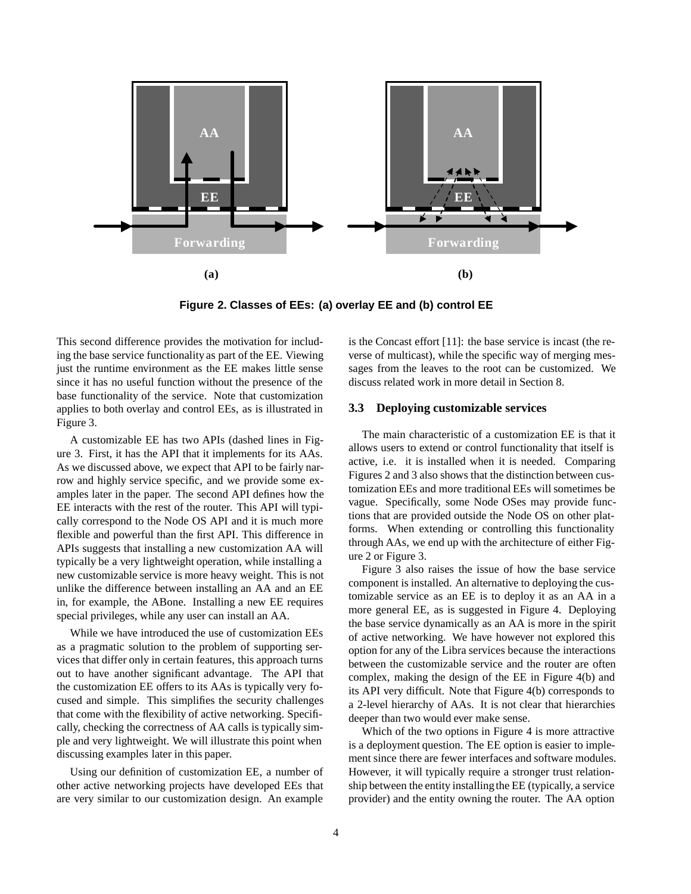

**Figure 2. Classes of EEs: (a) overlay EE and (b) control EE**

This second difference provides the motivation for including the base service functionality as part of the EE. Viewing just the runtime environment as the EE makes little sense since it has no useful function without the presence of the base functionality of the service. Note that customization applies to both overlay and control EEs, as is illustrated in Figure 3.

A customizable EE has two APIs (dashed lines in Figure 3. First, it has the API that it implements for its AAs. As we discussed above, we expect that API to be fairly narrow and highly service specific, and we provide some examples later in the paper. The second API defines how the EE interacts with the rest of the router. This API will typically correspond to the Node OS API and it is much more flexible and powerful than the first API. This difference in APIs suggests that installing a new customization AA will typically be a very lightweight operation, while installing a new customizable service is more heavy weight. This is not unlike the difference between installing an AA and an EE in, for example, the ABone. Installing a new EE requires special privileges, while any user can install an AA.

While we have introduced the use of customization EEs as a pragmatic solution to the problem of supporting services that differ only in certain features, this approach turns out to have another significant advantage. The API that the customization EE offers to its AAs is typically very focused and simple. This simplifies the security challenges that come with the flexibility of active networking. Specifically, checking the correctness of AA calls is typically simple and very lightweight. We will illustrate this point when discussing examples later in this paper.

Using our definition of customization EE, a number of other active networking projects have developed EEs that are very similar to our customization design. An example

is the Concast effort [11]: the base service is incast (the reverse of multicast), while the specific way of merging messages from the leaves to the root can be customized. We discuss related work in more detail in Section 8.

### **3.3 Deploying customizable services**

The main characteristic of a customization EE is that it allows users to extend or control functionality that itself is active, i.e. it is installed when it is needed. Comparing Figures 2 and 3 also shows that the distinction between customization EEs and more traditional EEs will sometimes be vague. Specifically, some Node OSes may provide functions that are provided outside the Node OS on other platforms. When extending or controlling this functionality through AAs, we end up with the architecture of either Figure 2 or Figure 3.

Figure 3 also raises the issue of how the base service component is installed. An alternative to deploying the customizable service as an EE is to deploy it as an AA in a more general EE, as is suggested in Figure 4. Deploying the base service dynamically as an AA is more in the spirit of active networking. We have however not explored this option for any of the Libra services because the interactions between the customizable service and the router are often complex, making the design of the EE in Figure 4(b) and its API very difficult. Note that Figure 4(b) corresponds to a 2-level hierarchy of AAs. It is not clear that hierarchies deeper than two would ever make sense.

Which of the two options in Figure 4 is more attractive is a deployment question. The EE option is easier to implement since there are fewer interfaces and software modules. However, it will typically require a stronger trust relationship between the entity installing the EE (typically, a service provider) and the entity owning the router. The AA option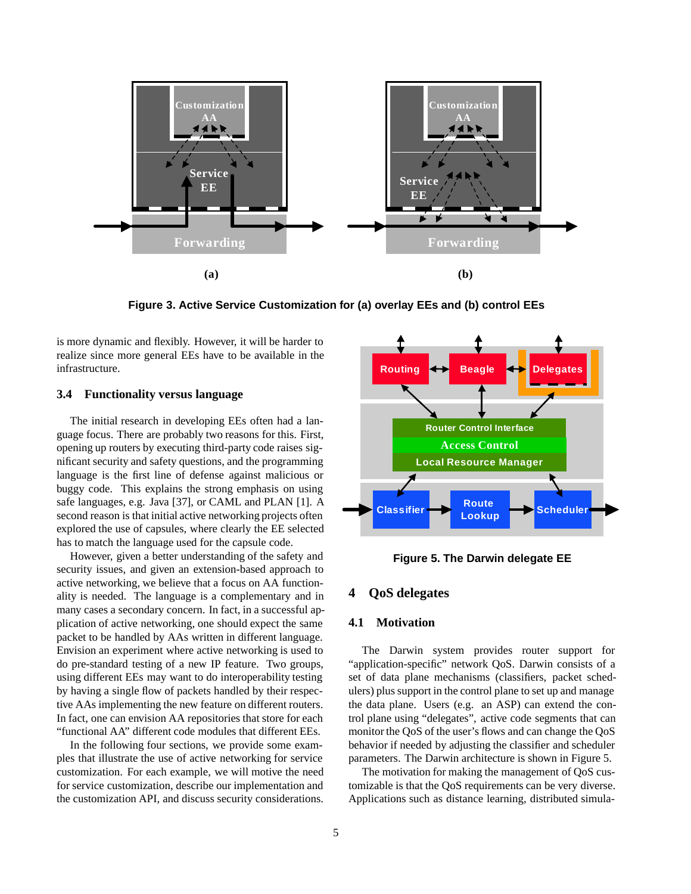

**Figure 3. Active Service Customization for (a) overlay EEs and (b) control EEs**

is more dynamic and flexibly. However, it will be harder to realize since more general EEs have to be available in the infrastructure.

# **3.4 Functionality versus language**

The initial research in developing EEs often had a language focus. There are probably two reasons for this. First, opening up routers by executing third-party code raises significant security and safety questions, and the programming language is the first line of defense against malicious or buggy code. This explains the strong emphasis on using safe languages, e.g. Java [37], or CAML and PLAN [1]. A second reason is that initial active networking projects often explored the use of capsules, where clearly the EE selected has to match the language used for the capsule code.

However, given a better understanding of the safety and security issues, and given an extension-based approach to active networking, we believe that a focus on AA functionality is needed. The language is a complementary and in many cases a secondary concern. In fact, in a successful application of active networking, one should expect the same packet to be handled by AAs written in different language. Envision an experiment where active networking is used to do pre-standard testing of a new IP feature. Two groups, using different EEs may want to do interoperability testing by having a single flow of packets handled by their respective AAs implementing the new feature on different routers. In fact, one can envision AA repositories that store for each "functional AA" different code modules that different EEs.

In the following four sections, we provide some examples that illustrate the use of active networking for service customization. For each example, we will motive the need for service customization, describe our implementation and the customization API, and discuss security considerations.



**Figure 5. The Darwin delegate EE**

# **4 QoS delegates**

### **4.1 Motivation**

The Darwin system provides router support for "application-specific" network QoS. Darwin consists of a set of data plane mechanisms (classifiers, packet schedulers) plus support in the control plane to set up and manage the data plane. Users (e.g. an ASP) can extend the control plane using "delegates", active code segments that can monitor the QoS of the user's flows and can change the QoS behavior if needed by adjusting the classifier and scheduler parameters. The Darwin architecture is shown in Figure 5.

The motivation for making the management of QoS customizable is that the QoS requirements can be very diverse. Applications such as distance learning, distributed simula-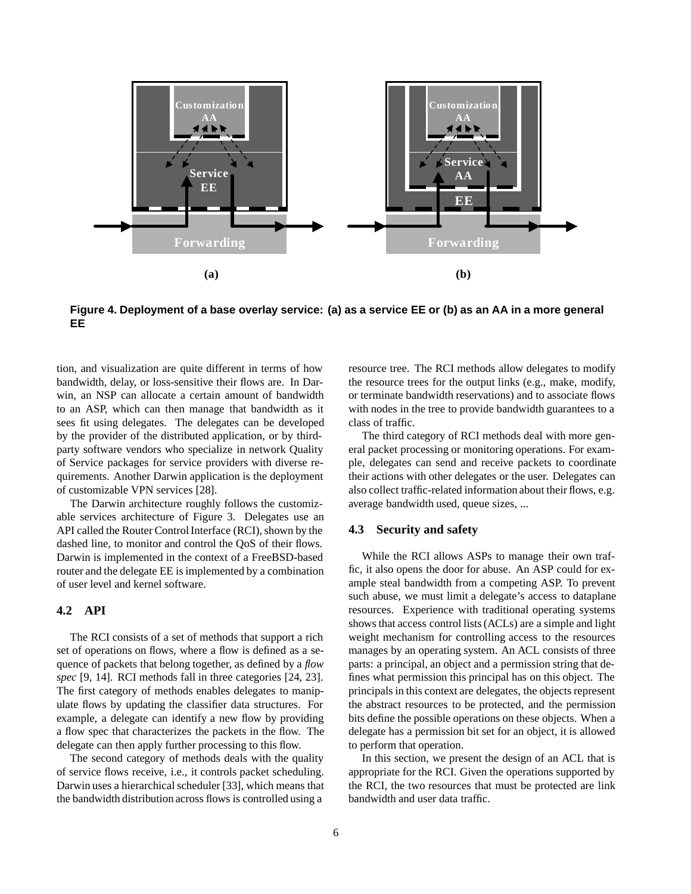

**Figure 4. Deployment of a base overlay service: (a) as a service EE or (b) as an AA in a more general EE**

tion, and visualization are quite different in terms of how bandwidth, delay, or loss-sensitive their flows are. In Darwin, an NSP can allocate a certain amount of bandwidth to an ASP, which can then manage that bandwidth as it sees fit using delegates. The delegates can be developed by the provider of the distributed application, or by thirdparty software vendors who specialize in network Quality of Service packages for service providers with diverse requirements. Another Darwin application is the deployment of customizable VPN services [28].

The Darwin architecture roughly follows the customizable services architecture of Figure 3. Delegates use an API called the Router Control Interface (RCI), shown by the dashed line, to monitor and control the QoS of their flows. Darwin is implemented in the context of a FreeBSD-based router and the delegate EE is implemented by a combination of user level and kernel software.

# **4.2 API**

The RCI consists of a set of methods that support a rich set of operations on flows, where a flow is defined as a sequence of packets that belong together, as defined by a *flow spec* [9, 14]. RCI methods fall in three categories [24, 23]. The first category of methods enables delegates to manipulate flows by updating the classifier data structures. For example, a delegate can identify a new flow by providing a flow spec that characterizes the packets in the flow. The delegate can then apply further processing to this flow.

The second category of methods deals with the quality of service flows receive, i.e., it controls packet scheduling. Darwin uses a hierarchical scheduler [33], which means that the bandwidth distribution across flows is controlled using a

resource tree. The RCI methods allow delegates to modify the resource trees for the output links (e.g., make, modify, or terminate bandwidth reservations) and to associate flows with nodes in the tree to provide bandwidth guarantees to a class of traffic.

The third category of RCI methods deal with more general packet processing or monitoring operations. For example, delegates can send and receive packets to coordinate their actions with other delegates or the user. Delegates can also collect traffic-related information about their flows, e.g. average bandwidth used, queue sizes, ...

#### **4.3 Security and safety**

While the RCI allows ASPs to manage their own traffic, it also opens the door for abuse. An ASP could for example steal bandwidth from a competing ASP. To prevent such abuse, we must limit a delegate's access to dataplane resources. Experience with traditional operating systems shows that access control lists (ACLs) are a simple and light weight mechanism for controlling access to the resources manages by an operating system. An ACL consists of three parts: a principal, an object and a permission string that defines what permission this principal has on this object. The principals in this context are delegates, the objects represent the abstract resources to be protected, and the permission bits define the possible operations on these objects. When a delegate has a permission bit set for an object, it is allowed to perform that operation.

In this section, we present the design of an ACL that is appropriate for the RCI. Given the operations supported by the RCI, the two resources that must be protected are link bandwidth and user data traffic.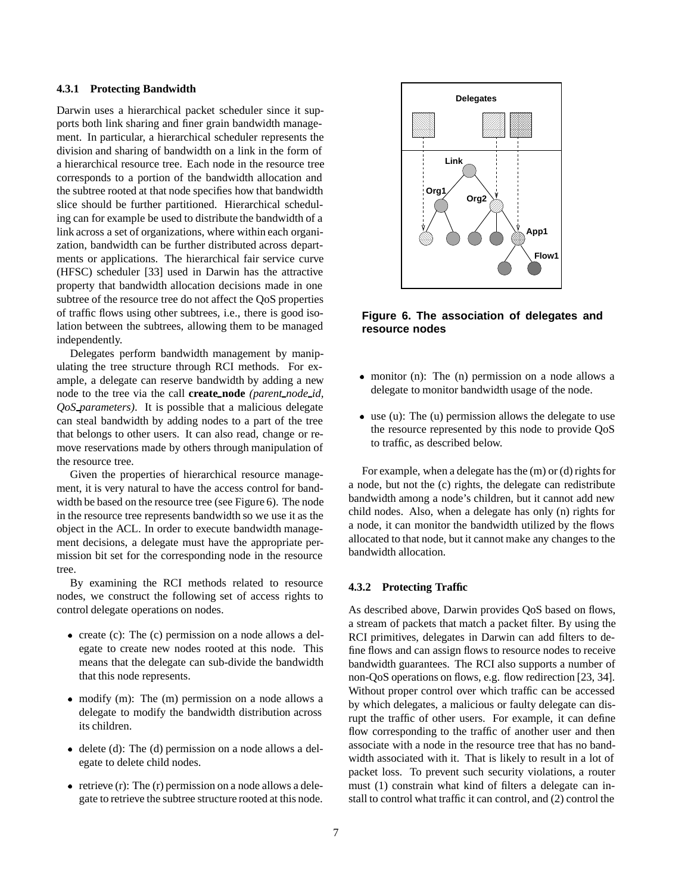#### **4.3.1 Protecting Bandwidth**

Darwin uses a hierarchical packet scheduler since it supports both link sharing and finer grain bandwidth management. In particular, a hierarchical scheduler represents the division and sharing of bandwidth on a link in the form of a hierarchical resource tree. Each node in the resource tree corresponds to a portion of the bandwidth allocation and the subtree rooted at that node specifies how that bandwidth slice should be further partitioned. Hierarchical scheduling can for example be used to distribute the bandwidth of a link across a set of organizations, where within each organization, bandwidth can be further distributed across departments or applications. The hierarchical fair service curve (HFSC) scheduler [33] used in Darwin has the attractive property that bandwidth allocation decisions made in one subtree of the resource tree do not affect the QoS properties of traffic flows using other subtrees, i.e., there is good isolation between the subtrees, allowing them to be managed independently.

Delegates perform bandwidth management by manipulating the tree structure through RCI methods. For example, a delegate can reserve bandwidth by adding a new node to the tree via the call **create node** *(parent node id, QoS parameters)*. It is possible that a malicious delegate can steal bandwidth by adding nodes to a part of the tree that belongs to other users. It can also read, change or remove reservations made by others through manipulation of the resource tree.

Given the properties of hierarchical resource management, it is very natural to have the access control for bandwidth be based on the resource tree (see Figure 6). The node in the resource tree represents bandwidth so we use it as the object in the ACL. In order to execute bandwidth management decisions, a delegate must have the appropriate permission bit set for the corresponding node in the resource tree.

By examining the RCI methods related to resource nodes, we construct the following set of access rights to control delegate operations on nodes.

- create (c): The (c) permission on a node allows a delegate to create new nodes rooted at this node. This means that the delegate can sub-divide the bandwidth that this node represents.
- modify (m): The (m) permission on a node allows a delegate to modify the bandwidth distribution across its children.
- delete (d): The (d) permission on a node allows a delegate to delete child nodes.
- $\bullet\$  retrieve (r): The (r) permission on a node allows a delegate to retrieve the subtree structure rooted at this node.



**Figure 6. The association of delegates and resource nodes**

- monitor (n): The (n) permission on a node allows a delegate to monitor bandwidth usage of the node.
- use (u): The (u) permission allows the delegate to use the resource represented by this node to provide QoS to traffic, as described below.

For example, when a delegate has the (m) or (d) rights for a node, but not the (c) rights, the delegate can redistribute bandwidth among a node's children, but it cannot add new child nodes. Also, when a delegate has only (n) rights for a node, it can monitor the bandwidth utilized by the flows allocated to that node, but it cannot make any changes to the bandwidth allocation.

#### **4.3.2 Protecting Traffic**

As described above, Darwin provides QoS based on flows, a stream of packets that match a packet filter. By using the RCI primitives, delegates in Darwin can add filters to define flows and can assign flows to resource nodes to receive bandwidth guarantees. The RCI also supports a number of non-QoS operations on flows, e.g. flow redirection [23, 34]. Without proper control over which traffic can be accessed by which delegates, a malicious or faulty delegate can disrupt the traffic of other users. For example, it can define flow corresponding to the traffic of another user and then associate with a node in the resource tree that has no bandwidth associated with it. That is likely to result in a lot of packet loss. To prevent such security violations, a router must (1) constrain what kind of filters a delegate can install to control what traffic it can control, and (2) control the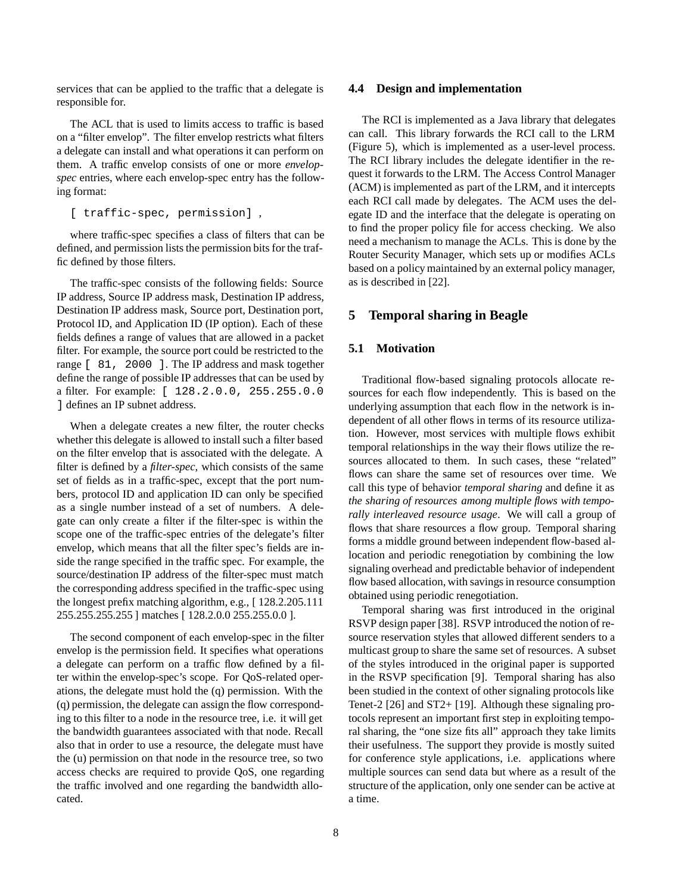services that can be applied to the traffic that a delegate is responsible for.

The ACL that is used to limits access to traffic is based on a "filter envelop". The filter envelop restricts what filters a delegate can install and what operations it can perform on them. A traffic envelop consists of one or more *envelopspec* entries, where each envelop-spec entry has the following format:

[ traffic-spec, permission] ,

where traffic-spec specifies a class of filters that can be defined, and permission lists the permission bits for the traffic defined by those filters.

The traffic-spec consists of the following fields: Source IP address, Source IP address mask, Destination IP address, Destination IP address mask, Source port, Destination port, Protocol ID, and Application ID (IP option). Each of these fields defines a range of values that are allowed in a packet filter. For example, the source port could be restricted to the range [ 81, 2000 ]. The IP address and mask together define the range of possible IP addresses that can be used by a filter. For example: [ 128.2.0.0, 255.255.0.0 ] defines an IP subnet address.

When a delegate creates a new filter, the router checks whether this delegate is allowed to install such a filter based on the filter envelop that is associated with the delegate. A filter is defined by a *filter-spec*, which consists of the same set of fields as in a traffic-spec, except that the port numbers, protocol ID and application ID can only be specified as a single number instead of a set of numbers. A delegate can only create a filter if the filter-spec is within the scope one of the traffic-spec entries of the delegate's filter envelop, which means that all the filter spec's fields are inside the range specified in the traffic spec. For example, the source/destination IP address of the filter-spec must match the corresponding address specified in the traffic-spec using the longest prefix matching algorithm, e.g., [ 128.2.205.111 255.255.255.255 ] matches [ 128.2.0.0 255.255.0.0 ].

The second component of each envelop-spec in the filter envelop is the permission field. It specifies what operations a delegate can perform on a traffic flow defined by a filter within the envelop-spec's scope. For QoS-related operations, the delegate must hold the (q) permission. With the (q) permission, the delegate can assign the flow corresponding to this filter to a node in the resource tree, i.e. it will get the bandwidth guarantees associated with that node. Recall also that in order to use a resource, the delegate must have the (u) permission on that node in the resource tree, so two access checks are required to provide QoS, one regarding the traffic involved and one regarding the bandwidth allocated.

#### **4.4 Design and implementation**

The RCI is implemented as a Java library that delegates can call. This library forwards the RCI call to the LRM (Figure 5), which is implemented as a user-level process. The RCI library includes the delegate identifier in the request it forwards to the LRM. The Access Control Manager (ACM) is implemented as part of the LRM, and it intercepts each RCI call made by delegates. The ACM uses the delegate ID and the interface that the delegate is operating on to find the proper policy file for access checking. We also need a mechanism to manage the ACLs. This is done by the Router Security Manager, which sets up or modifies ACLs based on a policy maintained by an external policy manager, as is described in [22].

# **5 Temporal sharing in Beagle**

## **5.1 Motivation**

Traditional flow-based signaling protocols allocate resources for each flow independently. This is based on the underlying assumption that each flow in the network is independent of all other flows in terms of its resource utilization. However, most services with multiple flows exhibit temporal relationships in the way their flows utilize the resources allocated to them. In such cases, these "related" flows can share the same set of resources over time. We call this type of behavior *temporal sharing* and define it as *the sharing of resources among multiple flows with temporally interleaved resource usage*. We will call a group of flows that share resources a flow group. Temporal sharing forms a middle ground between independent flow-based allocation and periodic renegotiation by combining the low signaling overhead and predictable behavior of independent flow based allocation, with savings in resource consumption obtained using periodic renegotiation.

Temporal sharing was first introduced in the original RSVP design paper [38]. RSVP introduced the notion of resource reservation styles that allowed different senders to a multicast group to share the same set of resources. A subset of the styles introduced in the original paper is supported in the RSVP specification [9]. Temporal sharing has also been studied in the context of other signaling protocols like Tenet-2 [26] and ST2+ [19]. Although these signaling protocols represent an important first step in exploiting temporal sharing, the "one size fits all" approach they take limits their usefulness. The support they provide is mostly suited for conference style applications, i.e. applications where multiple sources can send data but where as a result of the structure of the application, only one sender can be active at a time.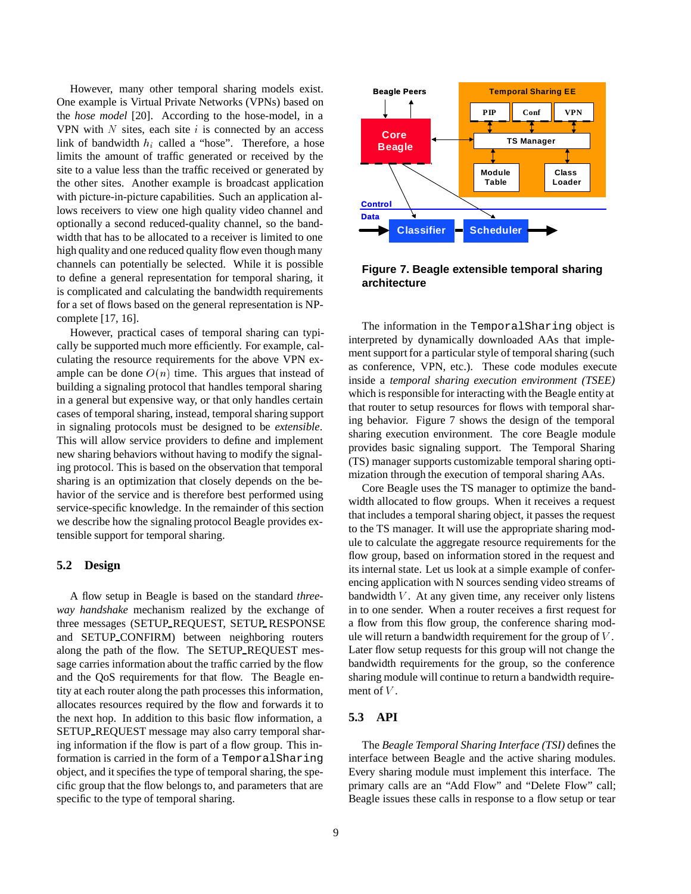However, many other temporal sharing models exist. One example is Virtual Private Networks (VPNs) based on the *hose model* [20]. According to the hose-model, in a VPN with  $N$  sites, each site  $i$  is connected by an access link of bandwidth  $h_i$  called a "hose". Therefore, a hose limits the amount of traffic generated or received by the site to a value less than the traffic received or generated by the other sites. Another example is broadcast application with picture-in-picture capabilities. Such an application allows receivers to view one high quality video channel and optionally a second reduced-quality channel, so the bandwidth that has to be allocated to a receiver is limited to one high quality and one reduced quality flow even though many channels can potentially be selected. While it is possible to define a general representation for temporal sharing, it is complicated and calculating the bandwidth requirements for a set of flows based on the general representation is NPcomplete [17, 16].

However, practical cases of temporal sharing can typically be supported much more efficiently. For example, calculating the resource requirements for the above VPN example can be done  $O(n)$  time. This argues that instead of building a signaling protocol that handles temporal sharing in a general but expensive way, or that only handles certain cases of temporal sharing, instead, temporal sharing support in signaling protocols must be designed to be *extensible*. This will allow service providers to define and implement new sharing behaviors without having to modify the signaling protocol. This is based on the observation that temporal sharing is an optimization that closely depends on the behavior of the service and is therefore best performed using service-specific knowledge. In the remainder of this section we describe how the signaling protocol Beagle provides extensible support for temporal sharing.

#### **5.2 Design**

A flow setup in Beagle is based on the standard *threeway handshake* mechanism realized by the exchange of three messages (SETUP REQUEST, SETUP RESPONSE and SETUP CONFIRM) between neighboring routers along the path of the flow. The SETUP\_REQUEST message carries information about the traffic carried by the flow and the QoS requirements for that flow. The Beagle entity at each router along the path processes this information, allocates resources required by the flow and forwards it to the next hop. In addition to this basic flow information, a SETUP REQUEST message may also carry temporal sharing information if the flow is part of a flow group. This information is carried in the form of a TemporalSharing object, and it specifies the type of temporal sharing, the specific group that the flow belongs to, and parameters that are specific to the type of temporal sharing.



**Figure 7. Beagle extensible temporal sharing architecture**

The information in the TemporalSharing object is interpreted by dynamically downloaded AAs that implement support for a particular style of temporal sharing (such as conference, VPN, etc.). These code modules execute inside a *temporal sharing execution environment (TSEE)* which is responsible for interacting with the Beagle entity at that router to setup resources for flows with temporal sharing behavior. Figure 7 shows the design of the temporal sharing execution environment. The core Beagle module provides basic signaling support. The Temporal Sharing (TS) manager supports customizable temporal sharing optimization through the execution of temporal sharing AAs.

Core Beagle uses the TS manager to optimize the bandwidth allocated to flow groups. When it receives a request that includes a temporal sharing object, it passes the request to the TS manager. It will use the appropriate sharing module to calculate the aggregate resource requirements for the flow group, based on information stored in the request and its internal state. Let us look at a simple example of conferencing application with N sources sending video streams of bandwidth  $V$ . At any given time, any receiver only listens in to one sender. When a router receives a first request for a flow from this flow group, the conference sharing module will return a bandwidth requirement for the group of  $V$ . Later flow setup requests for this group will not change the bandwidth requirements for the group, so the conference sharing module will continue to return a bandwidth requirement of  $V$ .

# **5.3 API**

The *Beagle Temporal Sharing Interface (TSI)* defines the interface between Beagle and the active sharing modules. Every sharing module must implement this interface. The primary calls are an "Add Flow" and "Delete Flow" call; Beagle issues these calls in response to a flow setup or tear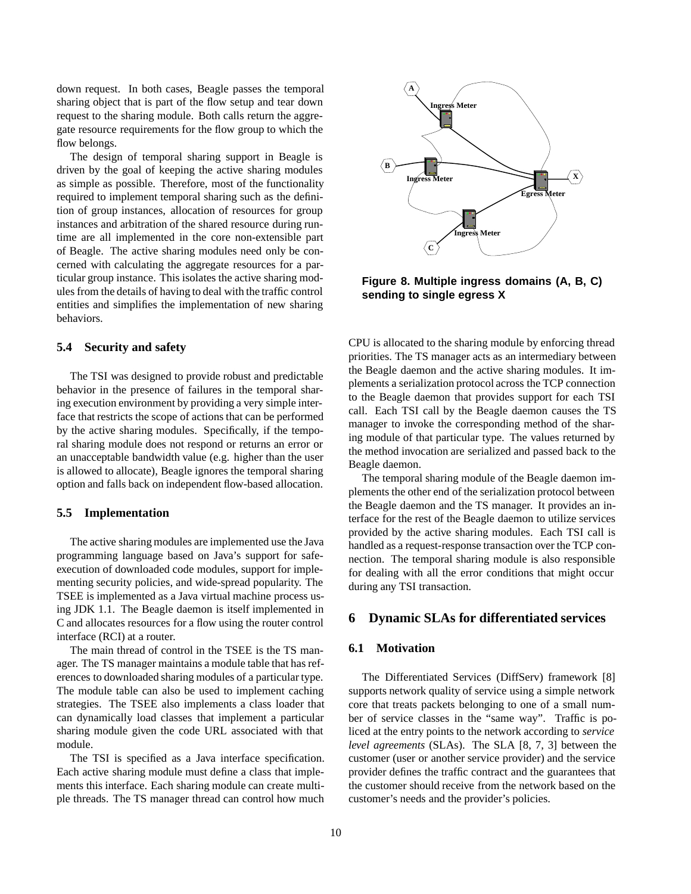down request. In both cases, Beagle passes the temporal sharing object that is part of the flow setup and tear down request to the sharing module. Both calls return the aggregate resource requirements for the flow group to which the flow belongs.

The design of temporal sharing support in Beagle is driven by the goal of keeping the active sharing modules as simple as possible. Therefore, most of the functionality required to implement temporal sharing such as the definition of group instances, allocation of resources for group instances and arbitration of the shared resource during runtime are all implemented in the core non-extensible part of Beagle. The active sharing modules need only be concerned with calculating the aggregate resources for a particular group instance. This isolates the active sharing modules from the details of having to deal with the traffic control entities and simplifies the implementation of new sharing behaviors.

#### **5.4 Security and safety**

The TSI was designed to provide robust and predictable behavior in the presence of failures in the temporal sharing execution environment by providing a very simple interface that restricts the scope of actions that can be performed by the active sharing modules. Specifically, if the temporal sharing module does not respond or returns an error or an unacceptable bandwidth value (e.g. higher than the user is allowed to allocate), Beagle ignores the temporal sharing option and falls back on independent flow-based allocation.

#### **5.5 Implementation**

The active sharing modules are implemented use the Java programming language based on Java's support for safeexecution of downloaded code modules, support for implementing security policies, and wide-spread popularity. The TSEE is implemented as a Java virtual machine process using JDK 1.1. The Beagle daemon is itself implemented in C and allocates resources for a flow using the router control interface (RCI) at a router.

The main thread of control in the TSEE is the TS manager. The TS manager maintains a module table that has references to downloaded sharing modules of a particular type. The module table can also be used to implement caching strategies. The TSEE also implements a class loader that can dynamically load classes that implement a particular sharing module given the code URL associated with that module.

The TSI is specified as a Java interface specification. Each active sharing module must define a class that implements this interface. Each sharing module can create multiple threads. The TS manager thread can control how much



**Figure 8. Multiple ingress domains (A, B, C) sending to single egress X**

CPU is allocated to the sharing module by enforcing thread priorities. The TS manager acts as an intermediary between the Beagle daemon and the active sharing modules. It implements a serialization protocol across the TCP connection to the Beagle daemon that provides support for each TSI call. Each TSI call by the Beagle daemon causes the TS manager to invoke the corresponding method of the sharing module of that particular type. The values returned by the method invocation are serialized and passed back to the Beagle daemon.

The temporal sharing module of the Beagle daemon implements the other end of the serialization protocol between the Beagle daemon and the TS manager. It provides an interface for the rest of the Beagle daemon to utilize services provided by the active sharing modules. Each TSI call is handled as a request-response transaction over the TCP connection. The temporal sharing module is also responsible for dealing with all the error conditions that might occur during any TSI transaction.

# **6 Dynamic SLAs for differentiated services**

#### **6.1 Motivation**

The Differentiated Services (DiffServ) framework [8] supports network quality of service using a simple network core that treats packets belonging to one of a small number of service classes in the "same way". Traffic is policed at the entry points to the network according to *service level agreements* (SLAs). The SLA [8, 7, 3] between the customer (user or another service provider) and the service provider defines the traffic contract and the guarantees that the customer should receive from the network based on the customer's needs and the provider's policies.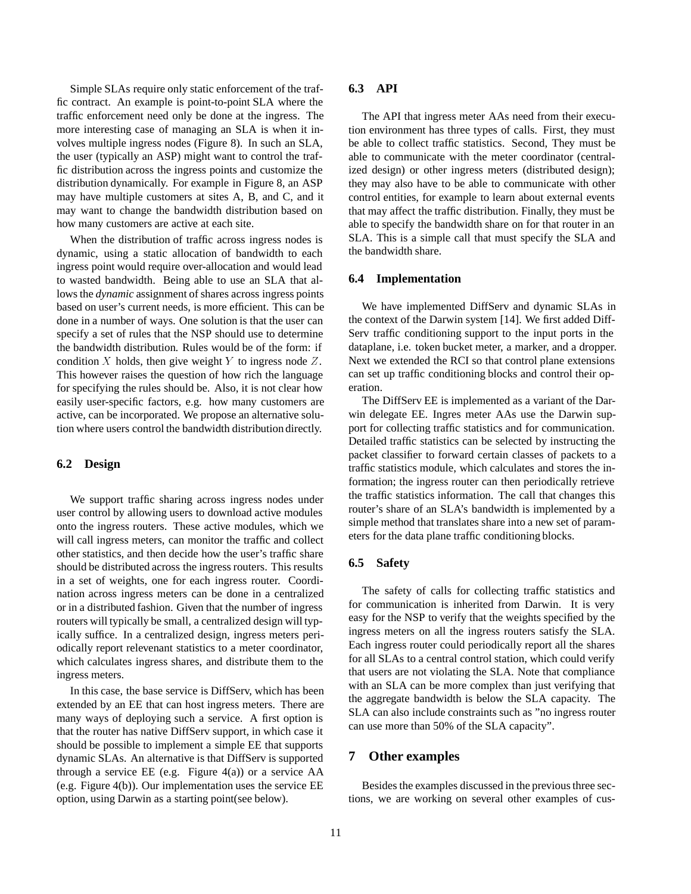Simple SLAs require only static enforcement of the traffic contract. An example is point-to-point SLA where the traffic enforcement need only be done at the ingress. The more interesting case of managing an SLA is when it involves multiple ingress nodes (Figure 8). In such an SLA, the user (typically an ASP) might want to control the traffic distribution across the ingress points and customize the distribution dynamically. For example in Figure 8, an ASP may have multiple customers at sites A, B, and C, and it may want to change the bandwidth distribution based on how many customers are active at each site.

When the distribution of traffic across ingress nodes is dynamic, using a static allocation of bandwidth to each ingress point would require over-allocation and would lead to wasted bandwidth. Being able to use an SLA that allows the *dynamic* assignment of shares across ingress points based on user's current needs, is more efficient. This can be done in a number of ways. One solution is that the user can specify a set of rules that the NSP should use to determine the bandwidth distribution. Rules would be of the form: if condition X holds, then give weight Y to ingress node  $Z$ . This however raises the question of how rich the language for specifying the rules should be. Also, it is not clear how easily user-specific factors, e.g. how many customers are active, can be incorporated. We propose an alternative solution where users control the bandwidth distribution directly.

#### **6.2 Design**

We support traffic sharing across ingress nodes under user control by allowing users to download active modules onto the ingress routers. These active modules, which we will call ingress meters, can monitor the traffic and collect other statistics, and then decide how the user's traffic share should be distributed across the ingress routers. This results in a set of weights, one for each ingress router. Coordination across ingress meters can be done in a centralized or in a distributed fashion. Given that the number of ingress routers will typically be small, a centralized design will typically suffice. In a centralized design, ingress meters periodically report relevenant statistics to a meter coordinator, which calculates ingress shares, and distribute them to the ingress meters.

In this case, the base service is DiffServ, which has been extended by an EE that can host ingress meters. There are many ways of deploying such a service. A first option is that the router has native DiffServ support, in which case it should be possible to implement a simple EE that supports dynamic SLAs. An alternative is that DiffServ is supported through a service  $EE$  (e.g. Figure 4(a)) or a service  $AA$ (e.g. Figure 4(b)). Our implementation uses the service EE option, using Darwin as a starting point(see below).

#### **6.3 API**

The API that ingress meter AAs need from their execution environment has three types of calls. First, they must be able to collect traffic statistics. Second, They must be able to communicate with the meter coordinator (centralized design) or other ingress meters (distributed design); they may also have to be able to communicate with other control entities, for example to learn about external events that may affect the traffic distribution. Finally, they must be able to specify the bandwidth share on for that router in an SLA. This is a simple call that must specify the SLA and the bandwidth share.

#### **6.4 Implementation**

We have implemented DiffServ and dynamic SLAs in the context of the Darwin system [14]. We first added Diff-Serv traffic conditioning support to the input ports in the dataplane, i.e. token bucket meter, a marker, and a dropper. Next we extended the RCI so that control plane extensions can set up traffic conditioning blocks and control their operation.

The DiffServ EE is implemented as a variant of the Darwin delegate EE. Ingres meter AAs use the Darwin support for collecting traffic statistics and for communication. Detailed traffic statistics can be selected by instructing the packet classifier to forward certain classes of packets to a traffic statistics module, which calculates and stores the information; the ingress router can then periodically retrieve the traffic statistics information. The call that changes this router's share of an SLA's bandwidth is implemented by a simple method that translates share into a new set of parameters for the data plane traffic conditioning blocks.

### **6.5 Safety**

The safety of calls for collecting traffic statistics and for communication is inherited from Darwin. It is very easy for the NSP to verify that the weights specified by the ingress meters on all the ingress routers satisfy the SLA. Each ingress router could periodically report all the shares for all SLAs to a central control station, which could verify that users are not violating the SLA. Note that compliance with an SLA can be more complex than just verifying that the aggregate bandwidth is below the SLA capacity. The SLA can also include constraints such as "no ingress router can use more than 50% of the SLA capacity".

# **7 Other examples**

Besides the examples discussed in the previous three sections, we are working on several other examples of cus-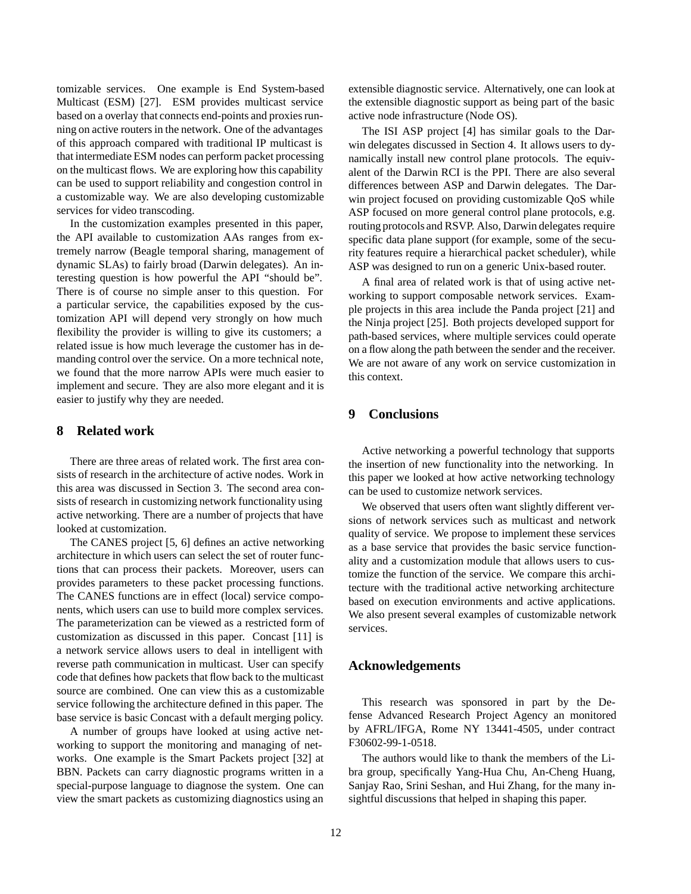tomizable services. One example is End System-based Multicast (ESM) [27]. ESM provides multicast service based on a overlay that connects end-points and proxies running on active routers in the network. One of the advantages of this approach compared with traditional IP multicast is that intermediate ESM nodes can perform packet processing on the multicast flows. We are exploring how this capability can be used to support reliability and congestion control in a customizable way. We are also developing customizable services for video transcoding.

In the customization examples presented in this paper, the API available to customization AAs ranges from extremely narrow (Beagle temporal sharing, management of dynamic SLAs) to fairly broad (Darwin delegates). An interesting question is how powerful the API "should be". There is of course no simple anser to this question. For a particular service, the capabilities exposed by the customization API will depend very strongly on how much flexibility the provider is willing to give its customers; a related issue is how much leverage the customer has in demanding control over the service. On a more technical note, we found that the more narrow APIs were much easier to implement and secure. They are also more elegant and it is easier to justify why they are needed.

# **8 Related work**

There are three areas of related work. The first area consists of research in the architecture of active nodes. Work in this area was discussed in Section 3. The second area consists of research in customizing network functionality using active networking. There are a number of projects that have looked at customization.

The CANES project [5, 6] defines an active networking architecture in which users can select the set of router functions that can process their packets. Moreover, users can provides parameters to these packet processing functions. The CANES functions are in effect (local) service components, which users can use to build more complex services. The parameterization can be viewed as a restricted form of customization as discussed in this paper. Concast [11] is a network service allows users to deal in intelligent with reverse path communication in multicast. User can specify code that defines how packets that flow back to the multicast source are combined. One can view this as a customizable service following the architecture defined in this paper. The base service is basic Concast with a default merging policy.

A number of groups have looked at using active networking to support the monitoring and managing of networks. One example is the Smart Packets project [32] at BBN. Packets can carry diagnostic programs written in a special-purpose language to diagnose the system. One can view the smart packets as customizing diagnostics using an

extensible diagnostic service. Alternatively, one can look at the extensible diagnostic support as being part of the basic active node infrastructure (Node OS).

The ISI ASP project [4] has similar goals to the Darwin delegates discussed in Section 4. It allows users to dynamically install new control plane protocols. The equivalent of the Darwin RCI is the PPI. There are also several differences between ASP and Darwin delegates. The Darwin project focused on providing customizable QoS while ASP focused on more general control plane protocols, e.g. routing protocols and RSVP. Also, Darwin delegates require specific data plane support (for example, some of the security features require a hierarchical packet scheduler), while ASP was designed to run on a generic Unix-based router.

A final area of related work is that of using active networking to support composable network services. Example projects in this area include the Panda project [21] and the Ninja project [25]. Both projects developed support for path-based services, where multiple services could operate on a flow along the path between the sender and the receiver. We are not aware of any work on service customization in this context.

# **9 Conclusions**

Active networking a powerful technology that supports the insertion of new functionality into the networking. In this paper we looked at how active networking technology can be used to customize network services.

We observed that users often want slightly different versions of network services such as multicast and network quality of service. We propose to implement these services as a base service that provides the basic service functionality and a customization module that allows users to customize the function of the service. We compare this architecture with the traditional active networking architecture based on execution environments and active applications. We also present several examples of customizable network services.

### **Acknowledgements**

This research was sponsored in part by the Defense Advanced Research Project Agency an monitored by AFRL/IFGA, Rome NY 13441-4505, under contract F30602-99-1-0518.

The authors would like to thank the members of the Libra group, specifically Yang-Hua Chu, An-Cheng Huang, Sanjay Rao, Srini Seshan, and Hui Zhang, for the many insightful discussions that helped in shaping this paper.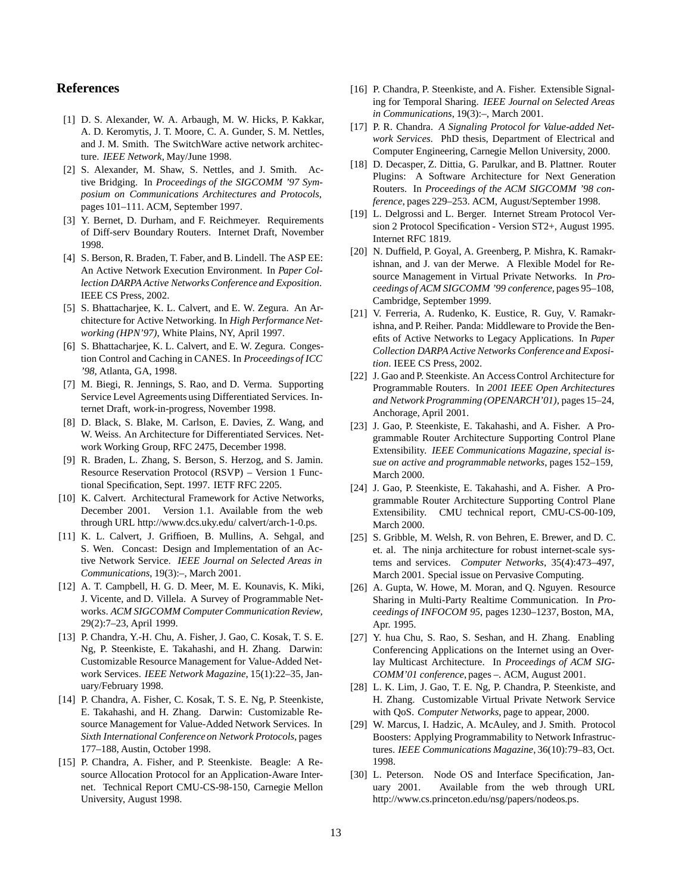# **References**

- [1] D. S. Alexander, W. A. Arbaugh, M. W. Hicks, P. Kakkar, A. D. Keromytis, J. T. Moore, C. A. Gunder, S. M. Nettles, and J. M. Smith. The SwitchWare active network architecture. *IEEE Network*, May/June 1998.
- [2] S. Alexander, M. Shaw, S. Nettles, and J. Smith. Active Bridging. In *Proceedings of the SIGCOMM '97 Symposium on Communications Architectures and Protocols*, pages 101–111. ACM, September 1997.
- [3] Y. Bernet, D. Durham, and F. Reichmeyer. Requirements of Diff-serv Boundary Routers. Internet Draft, November 1998.
- [4] S. Berson, R. Braden, T. Faber, and B. Lindell. The ASP EE: An Active Network Execution Environment. In *Paper Collection DARPA Active Networks Conference and Exposition*. IEEE CS Press, 2002.
- [5] S. Bhattacharjee, K. L. Calvert, and E. W. Zegura. An Architecture for Active Networking. In *High Performance Networking (HPN'97)*, White Plains, NY, April 1997.
- [6] S. Bhattacharjee, K. L. Calvert, and E. W. Zegura. Congestion Control and Caching in CANES. In *Proceedings of ICC '98*, Atlanta, GA, 1998.
- [7] M. Biegi, R. Jennings, S. Rao, and D. Verma. Supporting Service Level Agreements using Differentiated Services. Internet Draft, work-in-progress, November 1998.
- [8] D. Black, S. Blake, M. Carlson, E. Davies, Z. Wang, and W. Weiss. An Architecture for Differentiated Services. Network Working Group, RFC 2475, December 1998.
- [9] R. Braden, L. Zhang, S. Berson, S. Herzog, and S. Jamin. Resource Reservation Protocol (RSVP) – Version 1 Functional Specification, Sept. 1997. IETF RFC 2205.
- [10] K. Calvert. Architectural Framework for Active Networks, December 2001. Version 1.1. Available from the web through URL http://www.dcs.uky.edu/ calvert/arch-1-0.ps.
- [11] K. L. Calvert, J. Griffioen, B. Mullins, A. Sehgal, and S. Wen. Concast: Design and Implementation of an Active Network Service. *IEEE Journal on Selected Areas in Communications*, 19(3):–, March 2001.
- [12] A. T. Campbell, H. G. D. Meer, M. E. Kounavis, K. Miki, J. Vicente, and D. Villela. A Survey of Programmable Networks. *ACM SIGCOMM Computer Communication Review*, 29(2):7–23, April 1999.
- [13] P. Chandra, Y.-H. Chu, A. Fisher, J. Gao, C. Kosak, T. S. E. Ng, P. Steenkiste, E. Takahashi, and H. Zhang. Darwin: Customizable Resource Management for Value-Added Network Services. *IEEE Network Magazine*, 15(1):22–35, January/February 1998.
- [14] P. Chandra, A. Fisher, C. Kosak, T. S. E. Ng, P. Steenkiste, E. Takahashi, and H. Zhang. Darwin: Customizable Resource Management for Value-Added Network Services. In *Sixth International Conference on Network Protocols*, pages 177–188, Austin, October 1998.
- [15] P. Chandra, A. Fisher, and P. Steenkiste. Beagle: A Resource Allocation Protocol for an Application-Aware Internet. Technical Report CMU-CS-98-150, Carnegie Mellon University, August 1998.
- [16] P. Chandra, P. Steenkiste, and A. Fisher. Extensible Signaling for Temporal Sharing. *IEEE Journal on Selected Areas in Communications*, 19(3):–, March 2001.
- [17] P. R. Chandra. *A Signaling Protocol for Value-added Network Services*. PhD thesis, Department of Electrical and Computer Engineering, Carnegie Mellon University, 2000.
- [18] D. Decasper, Z. Dittia, G. Parulkar, and B. Plattner. Router Plugins: A Software Architecture for Next Generation Routers. In *Proceedings of the ACM SIGCOMM '98 conference*, pages 229–253. ACM, August/September 1998.
- [19] L. Delgrossi and L. Berger. Internet Stream Protocol Version 2 Protocol Specification - Version ST2+, August 1995. Internet RFC 1819.
- [20] N. Duffield, P. Goyal, A. Greenberg, P. Mishra, K. Ramakrishnan, and J. van der Merwe. A Flexible Model for Resource Management in Virtual Private Networks. In *Proceedings of ACM SIGCOMM '99 conference*, pages 95–108, Cambridge, September 1999.
- [21] V. Ferreria, A. Rudenko, K. Eustice, R. Guy, V. Ramakrishna, and P. Reiher. Panda: Middleware to Provide the Benefits of Active Networks to Legacy Applications. In *Paper Collection DARPA Active Networks Conference and Exposition*. IEEE CS Press, 2002.
- [22] J. Gao and P. Steenkiste. An Access Control Architecture for Programmable Routers. In *2001 IEEE Open Architectures and Network Programming (OPENARCH'01)*, pages 15–24, Anchorage, April 2001.
- [23] J. Gao, P. Steenkiste, E. Takahashi, and A. Fisher. A Programmable Router Architecture Supporting Control Plane Extensibility. *IEEE Communications Magazine, special issue on active and programmable networks*, pages 152–159, March 2000.
- [24] J. Gao, P. Steenkiste, E. Takahashi, and A. Fisher. A Programmable Router Architecture Supporting Control Plane Extensibility. CMU technical report, CMU-CS-00-109, March 2000.
- [25] S. Gribble, M. Welsh, R. von Behren, E. Brewer, and D. C. et. al. The ninja architecture for robust internet-scale systems and services. *Computer Networks*, 35(4):473–497, March 2001. Special issue on Pervasive Computing.
- [26] A. Gupta, W. Howe, M. Moran, and Q. Nguyen. Resource Sharing in Multi-Party Realtime Communication. In *Proceedings of INFOCOM 95*, pages 1230–1237, Boston, MA, Apr. 1995.
- [27] Y. hua Chu, S. Rao, S. Seshan, and H. Zhang. Enabling Conferencing Applications on the Internet using an Overlay Multicast Architecture. In *Proceedings of ACM SIG-COMM'01 conference*, pages –. ACM, August 2001.
- [28] L. K. Lim, J. Gao, T. E. Ng, P. Chandra, P. Steenkiste, and H. Zhang. Customizable Virtual Private Network Service with QoS. *Computer Networks*, page to appear, 2000.
- [29] W. Marcus, I. Hadzic, A. McAuley, and J. Smith. Protocol Boosters: Applying Programmability to Network Infrastructures. *IEEE Communications Magazine*, 36(10):79–83, Oct. 1998.
- [30] L. Peterson. Node OS and Interface Specification, January 2001. Available from the web through URL http://www.cs.princeton.edu/nsg/papers/nodeos.ps.